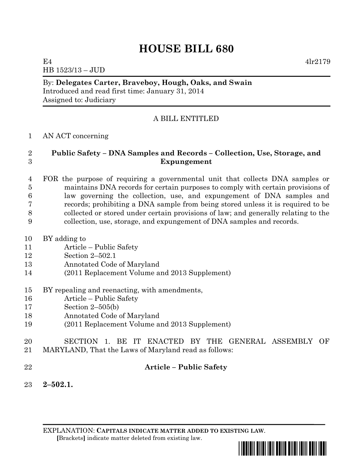# **HOUSE BILL 680**

E4  $4\text{lr}2179$ 

HB 1523/13 – JUD

#### By: **Delegates Carter, Braveboy, Hough, Oaks, and Swain** Introduced and read first time: January 31, 2014 Assigned to: Judiciary

## A BILL ENTITLED

#### AN ACT concerning

### **Public Safety – DNA Samples and Records – Collection, Use, Storage, and Expungement**

#### FOR the purpose of requiring a governmental unit that collects DNA samples or maintains DNA records for certain purposes to comply with certain provisions of law governing the collection, use, and expungement of DNA samples and records; prohibiting a DNA sample from being stored unless it is required to be collected or stored under certain provisions of law; and generally relating to the collection, use, storage, and expungement of DNA samples and records.

- BY adding to
- Article Public Safety
- Section 2–502.1
- Annotated Code of Maryland
- (2011 Replacement Volume and 2013 Supplement)
- BY repealing and reenacting, with amendments,
- Article Public Safety
- Section 2–505(b)
- Annotated Code of Maryland
- (2011 Replacement Volume and 2013 Supplement)
- SECTION 1. BE IT ENACTED BY THE GENERAL ASSEMBLY OF MARYLAND, That the Laws of Maryland read as follows:
- 

### **Article – Public Safety**

**2–502.1.**